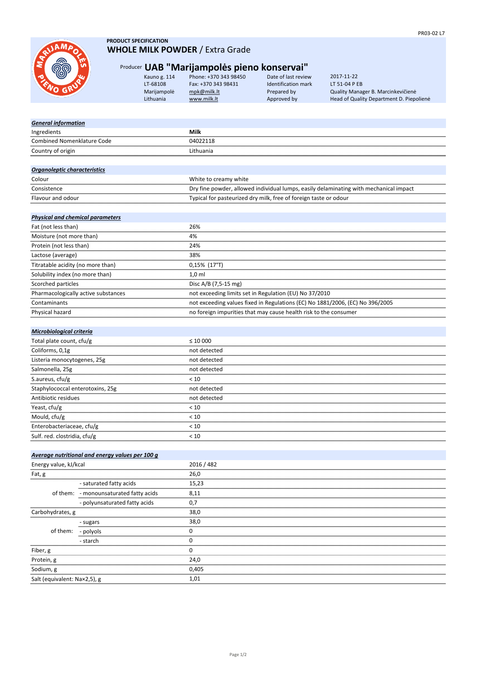# Producer **UAB "Marijampolės pieno konservai"**

Kauno g. 114 Phone: +370 343 98450 Date of last review LT-68108 Fax: +370 343 98431 Identification mark

| Energy value, kJ/kcal        |                                        | 2016 / 482 |
|------------------------------|----------------------------------------|------------|
| Fat, g                       |                                        | 26,0       |
|                              | - saturated fatty acids                | 15,23      |
|                              | of them: - monounsaturated fatty acids | 8,11       |
|                              | - polyunsaturated fatty acids          | 0,7        |
| Carbohydrates, g             |                                        | 38,0       |
| of them:                     | - sugars                               | 38,0       |
|                              | - polyols                              | 0          |
|                              | - starch                               | 0          |
| Fiber, g                     |                                        | 0          |
| Protein, g                   |                                        | 24,0       |
| Sodium, g                    |                                        | 0,405      |
| Salt (equivalent: Na×2,5), g |                                        | 1,01       |

| Total plate count, cfu/g         | $\leq 10000$ |
|----------------------------------|--------------|
| Coliforms, 0,1g                  | not detected |
| Listeria monocytogenes, 25g      | not detected |
| Salmonella, 25g                  | not detected |
| S.aureus, cfu/g                  | < 10         |
| Staphylococcal enterotoxins, 25g | not detected |
| Antibiotic residues              | not detected |
| Yeast, cfu/g                     | < 10         |
| Mould, cfu/g                     | < 10         |
| Enterobacteriaceae, cfu/g        | < 10         |
| Sulf. red. clostridia, cfu/g     | < 10         |
|                                  |              |

## **PRODUCT SPECIFICATION WHOLE MILK POWDER** / Extra Grade

Marijampolė [mpk@milk.lt](mailto:mpk@milk.lt) Prepared by Quality Manager B. Marcinkevičienė Lithuania WWW.milk.lt Approved by Head of Quality Department D. Piepolienė 2017-11-22 LT 51-04 P EB

# Country of origin **Lithuania** *General information* **Ingredients Milk** Combined Nomenklature Code 04022118

#### *Microbiological criteria*

| Fat (not less than)                 | 26%                                                                           |
|-------------------------------------|-------------------------------------------------------------------------------|
| Moisture (not more than)            | 4%                                                                            |
| Protein (not less than)             | 24%                                                                           |
| Lactose (average)                   | 38%                                                                           |
| Titratable acidity (no more than)   | $0,15\%$ (17°T)                                                               |
| Solubility index (no more than)     | $1,0$ ml                                                                      |
| Scorched particles                  | Disc A/B (7,5-15 mg)                                                          |
| Pharmacologically active substances | not exceeding limits set in Regulation (EU) No 37/2010                        |
| Contaminants                        | not exceeding values fixed in Regulations (EC) No 1881/2006, (EC) No 396/2005 |
| Physical hazard                     | no foreign impurities that may cause health risk to the consumer              |

#### *Physical and chemical parameters*

| Colour            | White to creamy white                                                                 |
|-------------------|---------------------------------------------------------------------------------------|
| Consistence       | Dry fine powder, allowed individual lumps, easily delaminating with mechanical impact |
| Flavour and odour | Typical for pasteurized dry milk, free of foreign taste or odour                      |



#### *Organoleptic characteristics*